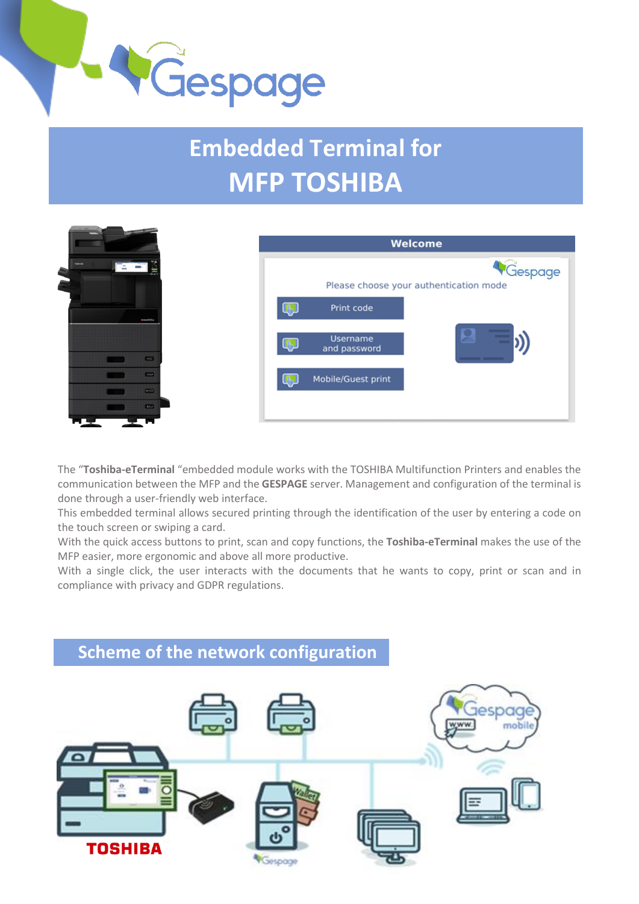

# **Embedded Terminal for MFP TOSHIBA**



The "**Toshiba-eTerminal** "embedded module works with the TOSHIBA Multifunction Printers and enables the communication between the MFP and the **GESPAGE** server. Management and configuration of the terminal is done through a user-friendly web interface.

This embedded terminal allows secured printing through the identification of the user by entering a code on the touch screen or swiping a card.

With the quick access buttons to print, scan and copy functions, the **Toshiba-eTerminal** makes the use of the MFP easier, more ergonomic and above all more productive.

With a single click, the user interacts with the documents that he wants to copy, print or scan and in compliance with privacy and GDPR regulations.